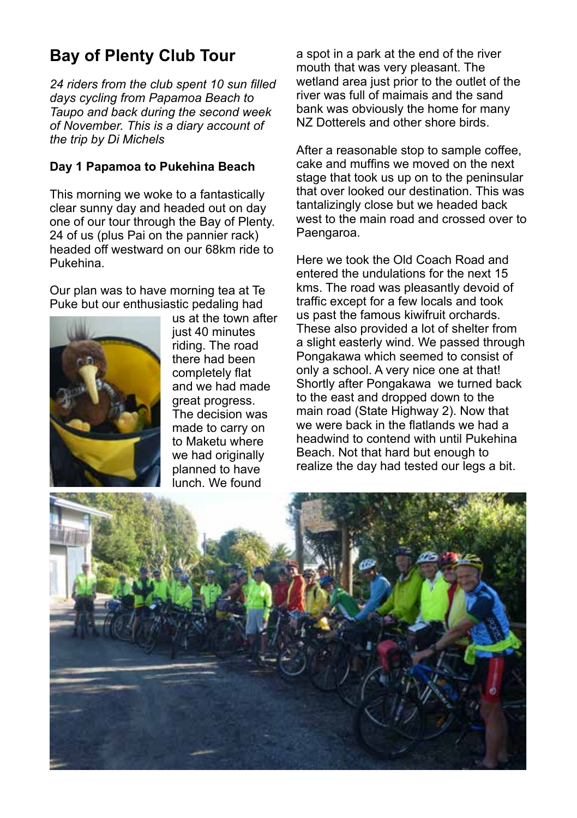# **Bay of Plenty Club Tour**

*24 riders from the club spent 10 sun filled days cycling from Papamoa Beach to Taupo and back during the second week of November. This is a diary account of the trip by Di Michels*

#### **Day 1 Papamoa to Pukehina Beach**

This morning we woke to a fantastically clear sunny day and headed out on day one of our tour through the Bay of Plenty. 24 of us (plus Pai on the pannier rack) headed off westward on our 68km ride to Pukehina.

Our plan was to have morning tea at Te Puke but our enthusiastic pedaling had



us at the town after just 40 minutes riding. The road there had been completely flat and we had made great progress. The decision was made to carry on to Maketu where we had originally planned to have lunch. We found

a spot in a park at the end of the river mouth that was very pleasant. The wetland area just prior to the outlet of the river was full of maimais and the sand bank was obviously the home for many NZ Dotterels and other shore birds.

After a reasonable stop to sample coffee. cake and muffins we moved on the next stage that took us up on to the peninsular that over looked our destination. This was tantalizingly close but we headed back west to the main road and crossed over to Paengaroa.

Here we took the Old Coach Road and entered the undulations for the next 15 kms. The road was pleasantly devoid of traffic except for a few locals and took us past the famous kiwifruit orchards. These also provided a lot of shelter from a slight easterly wind. We passed through Pongakawa which seemed to consist of only a school. A very nice one at that! Shortly after Pongakawa we turned back to the east and dropped down to the main road (State Highway 2). Now that we were back in the flatlands we had a headwind to contend with until Pukehina Beach. Not that hard but enough to realize the day had tested our legs a bit.

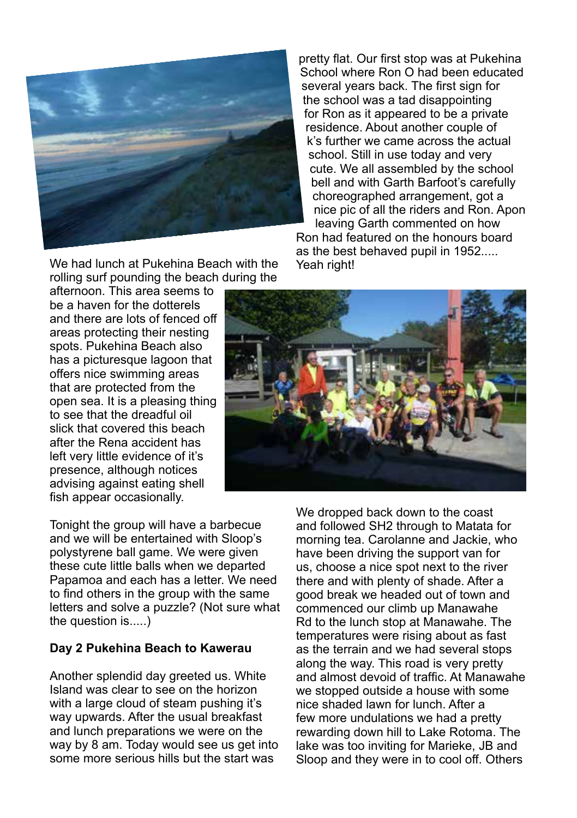

pretty flat. Our first stop was at Pukehina School where Ron O had been educated several years back. The first sign for the school was a tad disappointing for Ron as it appeared to be a private residence. About another couple of k's further we came across the actual school. Still in use today and very cute. We all assembled by the school bell and with Garth Barfoot's carefully choreographed arrangement, got a nice pic of all the riders and Ron. Apon leaving Garth commented on how Ron had featured on the honours board

as the best behaved pupil in 1952..... Yeah right!

We had lunch at Pukehina Beach with the rolling surf pounding the beach during the

afternoon. This area seems to be a haven for the dotterels and there are lots of fenced off areas protecting their nesting spots. Pukehina Beach also has a picturesque lagoon that offers nice swimming areas that are protected from the open sea. It is a pleasing thing to see that the dreadful oil slick that covered this beach after the Rena accident has left very little evidence of it's presence, although notices advising against eating shell fish appear occasionally.



Tonight the group will have a barbecue and we will be entertained with Sloop's polystyrene ball game. We were given these cute little balls when we departed Papamoa and each has a letter. We need to find others in the group with the same letters and solve a puzzle? (Not sure what the question is.....)

#### **Day 2 Pukehina Beach to Kawerau**

Another splendid day greeted us. White Island was clear to see on the horizon with a large cloud of steam pushing it's way upwards. After the usual breakfast and lunch preparations we were on the way by 8 am. Today would see us get into some more serious hills but the start was

We dropped back down to the coast and followed SH2 through to Matata for morning tea. Carolanne and Jackie, who have been driving the support van for us, choose a nice spot next to the river there and with plenty of shade. After a good break we headed out of town and commenced our climb up Manawahe Rd to the lunch stop at Manawahe. The temperatures were rising about as fast as the terrain and we had several stops along the way. This road is very pretty and almost devoid of traffic. At Manawahe we stopped outside a house with some nice shaded lawn for lunch. After a few more undulations we had a pretty rewarding down hill to Lake Rotoma. The lake was too inviting for Marieke, JB and Sloop and they were in to cool off. Others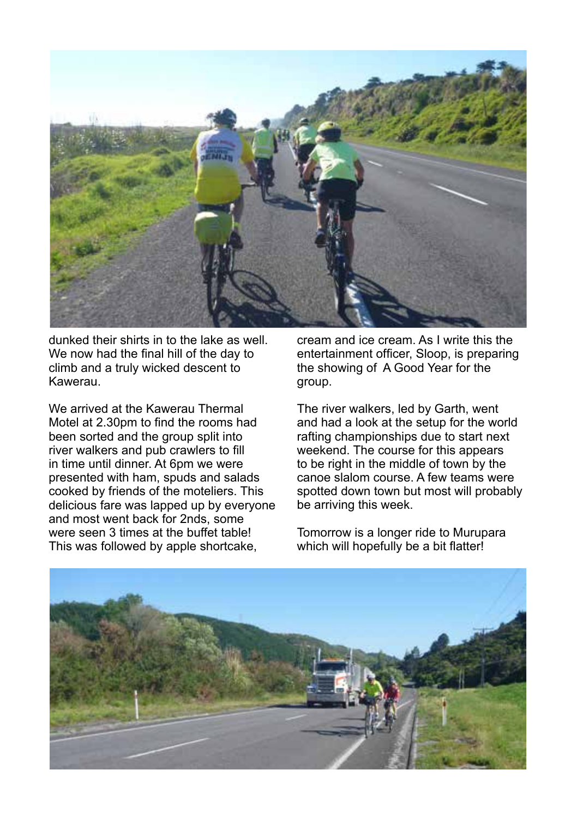

dunked their shirts in to the lake as well. We now had the final hill of the day to climb and a truly wicked descent to Kawerau.

We arrived at the Kawerau Thermal Motel at 2.30pm to find the rooms had been sorted and the group split into river walkers and pub crawlers to fill in time until dinner. At 6pm we were presented with ham, spuds and salads cooked by friends of the moteliers. This delicious fare was lapped up by everyone and most went back for 2nds, some were seen 3 times at the buffet table! This was followed by apple shortcake,

cream and ice cream. As I write this the entertainment officer, Sloop, is preparing the showing of A Good Year for the group.

The river walkers, led by Garth, went and had a look at the setup for the world rafting championships due to start next weekend. The course for this appears to be right in the middle of town by the canoe slalom course. A few teams were spotted down town but most will probably be arriving this week.

Tomorrow is a longer ride to Murupara which will hopefully be a bit flatter!

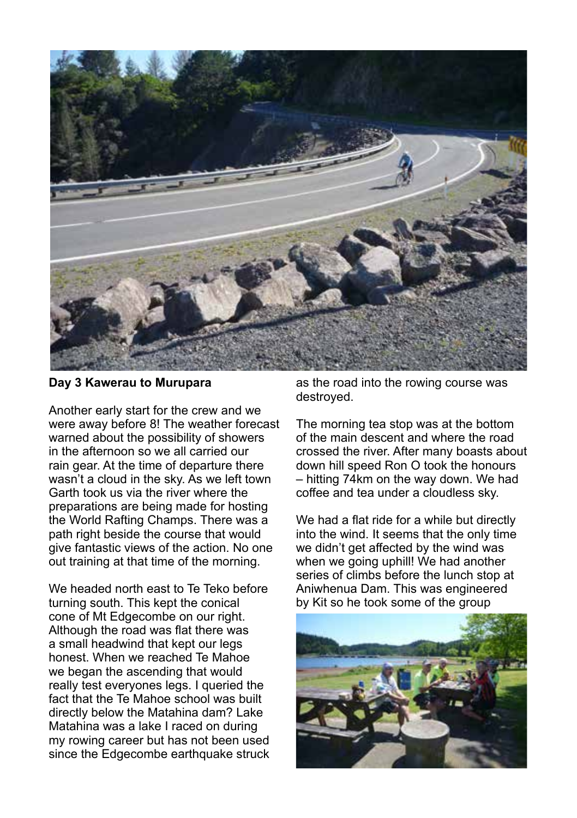

#### **Day 3 Kawerau to Murupara**

Another early start for the crew and we were away before 8! The weather forecast warned about the possibility of showers in the afternoon so we all carried our rain gear. At the time of departure there wasn't a cloud in the sky. As we left town Garth took us via the river where the preparations are being made for hosting the World Rafting Champs. There was a path right beside the course that would give fantastic views of the action. No one out training at that time of the morning.

We headed north east to Te Teko before turning south. This kept the conical cone of Mt Edgecombe on our right. Although the road was flat there was a small headwind that kept our legs honest. When we reached Te Mahoe we began the ascending that would really test everyones legs. I queried the fact that the Te Mahoe school was built directly below the Matahina dam? Lake Matahina was a lake I raced on during my rowing career but has not been used since the Edgecombe earthquake struck

as the road into the rowing course was destroyed.

The morning tea stop was at the bottom of the main descent and where the road crossed the river. After many boasts about down hill speed Ron O took the honours – hitting 74km on the way down. We had coffee and tea under a cloudless sky.

We had a flat ride for a while but directly into the wind. It seems that the only time we didn't get affected by the wind was when we going uphill! We had another series of climbs before the lunch stop at Aniwhenua Dam. This was engineered by Kit so he took some of the group

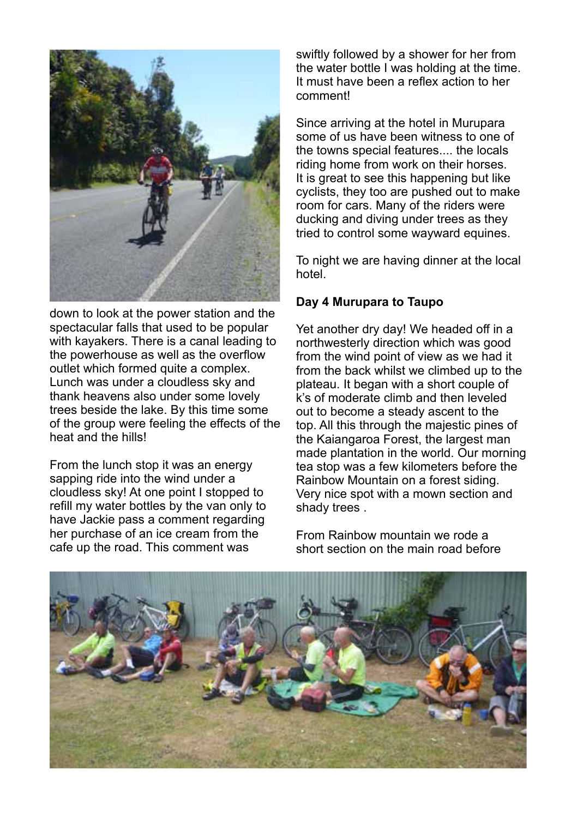

down to look at the power station and the spectacular falls that used to be popular with kayakers. There is a canal leading to the powerhouse as well as the overflow outlet which formed quite a complex. Lunch was under a cloudless sky and thank heavens also under some lovely trees beside the lake. By this time some of the group were feeling the effects of the heat and the hills!

From the lunch stop it was an energy sapping ride into the wind under a cloudless sky! At one point I stopped to refill my water bottles by the van only to have Jackie pass a comment regarding her purchase of an ice cream from the cafe up the road. This comment was

swiftly followed by a shower for her from the water bottle I was holding at the time. It must have been a reflex action to her comment!

Since arriving at the hotel in Murupara some of us have been witness to one of the towns special features.... the locals riding home from work on their horses. It is great to see this happening but like cyclists, they too are pushed out to make room for cars. Many of the riders were ducking and diving under trees as they tried to control some wayward equines.

To night we are having dinner at the local hotel

### **Day 4 Murupara to Taupo**

Yet another dry day! We headed off in a northwesterly direction which was good from the wind point of view as we had it from the back whilst we climbed up to the plateau. It began with a short couple of k's of moderate climb and then leveled out to become a steady ascent to the top. All this through the majestic pines of the Kaiangaroa Forest, the largest man made plantation in the world. Our morning tea stop was a few kilometers before the Rainbow Mountain on a forest siding. Very nice spot with a mown section and shady trees .

From Rainbow mountain we rode a short section on the main road before

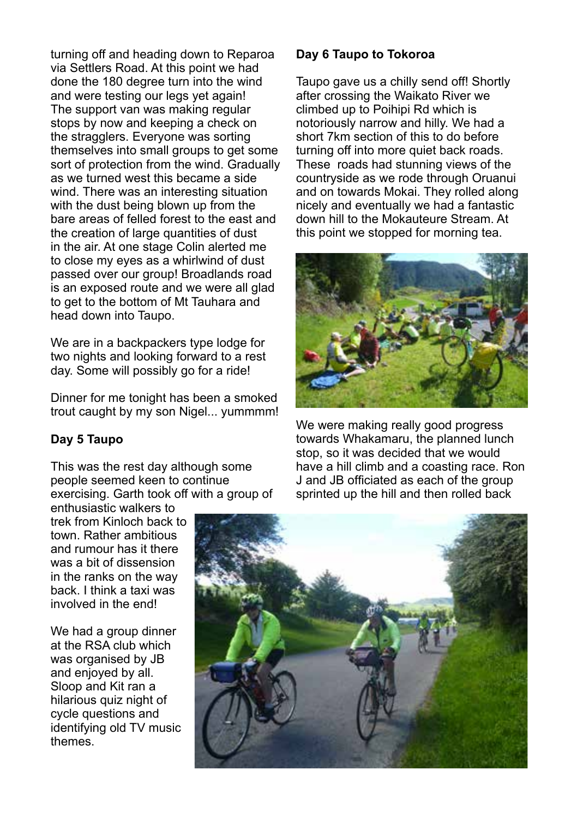turning off and heading down to Reparoa via Settlers Road. At this point we had done the 180 degree turn into the wind and were testing our legs yet again! The support van was making regular stops by now and keeping a check on the stragglers. Everyone was sorting themselves into small groups to get some sort of protection from the wind. Gradually as we turned west this became a side wind. There was an interesting situation with the dust being blown up from the bare areas of felled forest to the east and the creation of large quantities of dust in the air. At one stage Colin alerted me to close my eyes as a whirlwind of dust passed over our group! Broadlands road is an exposed route and we were all glad to get to the bottom of Mt Tauhara and head down into Taupo.

We are in a backpackers type lodge for two nights and looking forward to a rest day. Some will possibly go for a ride!

Dinner for me tonight has been a smoked trout caught by my son Nigel... yummmm!

#### **Day 5 Taupo**

This was the rest day although some people seemed keen to continue exercising. Garth took off with a group of

enthusiastic walkers to trek from Kinloch back to town. Rather ambitious and rumour has it there was a bit of dissension in the ranks on the way back. I think a taxi was involved in the end!

We had a group dinner at the RSA club which was organised by JB and enjoyed by all. Sloop and Kit ran a hilarious quiz night of cycle questions and identifying old TV music themes.

#### **Day 6 Taupo to Tokoroa**

Taupo gave us a chilly send off! Shortly after crossing the Waikato River we climbed up to Poihipi Rd which is notoriously narrow and hilly. We had a short 7km section of this to do before turning off into more quiet back roads. These roads had stunning views of the countryside as we rode through Oruanui and on towards Mokai. They rolled along nicely and eventually we had a fantastic down hill to the Mokauteure Stream. At this point we stopped for morning tea.



We were making really good progress towards Whakamaru, the planned lunch stop, so it was decided that we would have a hill climb and a coasting race. Ron J and JB officiated as each of the group sprinted up the hill and then rolled back

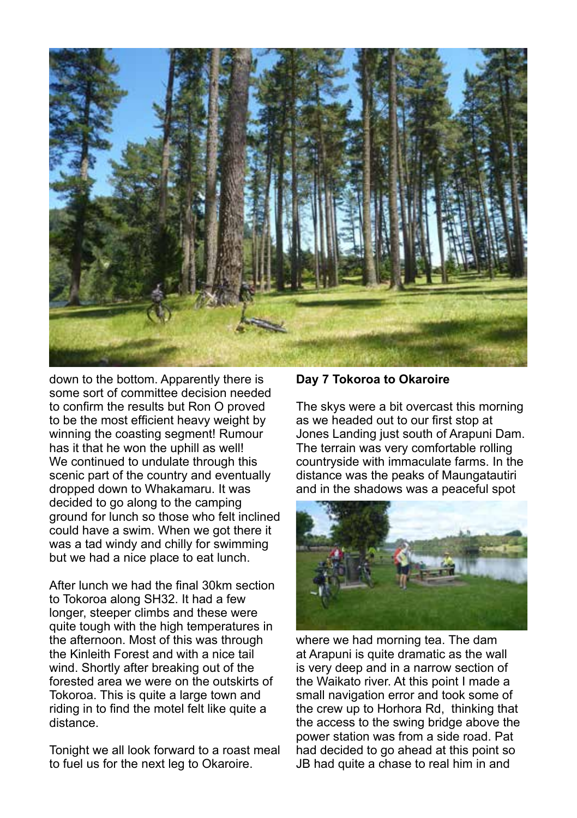

down to the bottom. Apparently there is some sort of committee decision needed to confirm the results but Ron O proved to be the most efficient heavy weight by winning the coasting segment! Rumour has it that he won the uphill as well! We continued to undulate through this scenic part of the country and eventually dropped down to Whakamaru. It was decided to go along to the camping ground for lunch so those who felt inclined could have a swim. When we got there it was a tad windy and chilly for swimming but we had a nice place to eat lunch.

After lunch we had the final 30km section to Tokoroa along SH32. It had a few longer, steeper climbs and these were quite tough with the high temperatures in the afternoon. Most of this was through the Kinleith Forest and with a nice tail wind. Shortly after breaking out of the forested area we were on the outskirts of Tokoroa. This is quite a large town and riding in to find the motel felt like quite a distance.

Tonight we all look forward to a roast meal to fuel us for the next leg to Okaroire.

#### **Day 7 Tokoroa to Okaroire**

The skys were a bit overcast this morning as we headed out to our first stop at Jones Landing just south of Arapuni Dam. The terrain was very comfortable rolling countryside with immaculate farms. In the distance was the peaks of Maungatautiri and in the shadows was a peaceful spot



where we had morning tea. The dam at Arapuni is quite dramatic as the wall is very deep and in a narrow section of the Waikato river. At this point I made a small navigation error and took some of the crew up to Horhora Rd, thinking that the access to the swing bridge above the power station was from a side road. Pat had decided to go ahead at this point so JB had quite a chase to real him in and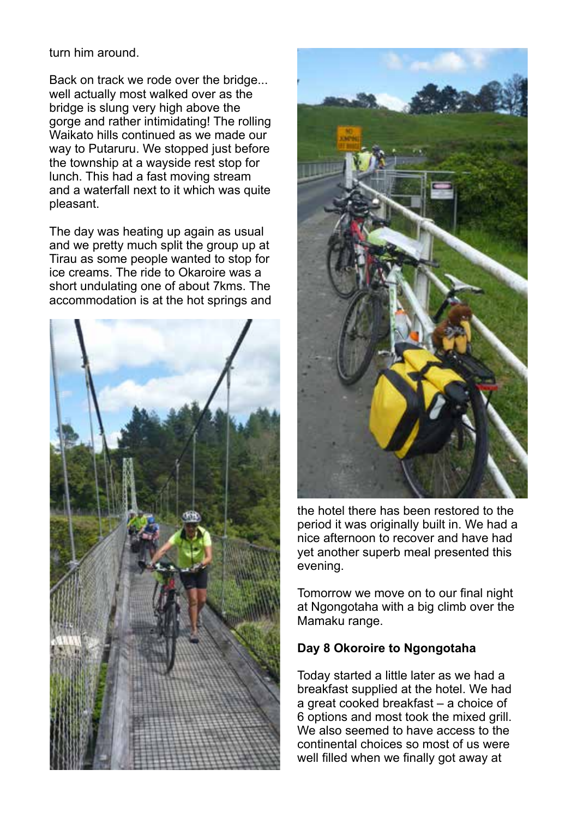turn him around.

Back on track we rode over the bridge... well actually most walked over as the bridge is slung very high above the gorge and rather intimidating! The rolling Waikato hills continued as we made our way to Putaruru. We stopped just before the township at a wayside rest stop for lunch. This had a fast moving stream and a waterfall next to it which was quite pleasant.

The day was heating up again as usual and we pretty much split the group up at Tirau as some people wanted to stop for ice creams. The ride to Okaroire was a short undulating one of about 7kms. The accommodation is at the hot springs and





the hotel there has been restored to the period it was originally built in. We had a nice afternoon to recover and have had yet another superb meal presented this evening.

Tomorrow we move on to our final night at Ngongotaha with a big climb over the Mamaku range.

#### **Day 8 Okoroire to Ngongotaha**

Today started a little later as we had a breakfast supplied at the hotel. We had a great cooked breakfast – a choice of 6 options and most took the mixed grill. We also seemed to have access to the continental choices so most of us were well filled when we finally got away at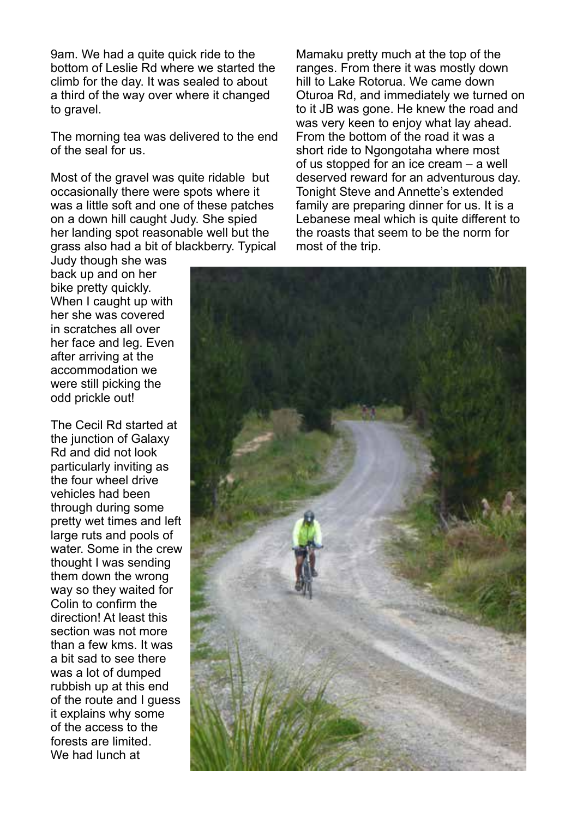9am. We had a quite quick ride to the bottom of Leslie Rd where we started the climb for the day. It was sealed to about a third of the way over where it changed to gravel.

The morning tea was delivered to the end of the seal for us.

Most of the gravel was quite ridable but occasionally there were spots where it was a little soft and one of these patches on a down hill caught Judy. She spied her landing spot reasonable well but the grass also had a bit of blackberry. Typical

Judy though she was back up and on her bike pretty quickly. When I caught up with her she was covered in scratches all over her face and leg. Even after arriving at the accommodation we were still picking the odd prickle out!

The Cecil Rd started at the junction of Galaxy Rd and did not look particularly inviting as the four wheel drive vehicles had been through during some pretty wet times and left large ruts and pools of water. Some in the crew thought I was sending them down the wrong way so they waited for Colin to confirm the direction! At least this section was not more than a few kms. It was a bit sad to see there was a lot of dumped rubbish up at this end of the route and I guess it explains why some of the access to the forests are limited. We had lunch at

Mamaku pretty much at the top of the ranges. From there it was mostly down hill to Lake Rotorua. We came down Oturoa Rd, and immediately we turned on to it JB was gone. He knew the road and was very keen to enjoy what lay ahead. From the bottom of the road it was a short ride to Ngongotaha where most of us stopped for an ice cream – a well deserved reward for an adventurous day. Tonight Steve and Annette's extended family are preparing dinner for us. It is a Lebanese meal which is quite different to the roasts that seem to be the norm for most of the trip.